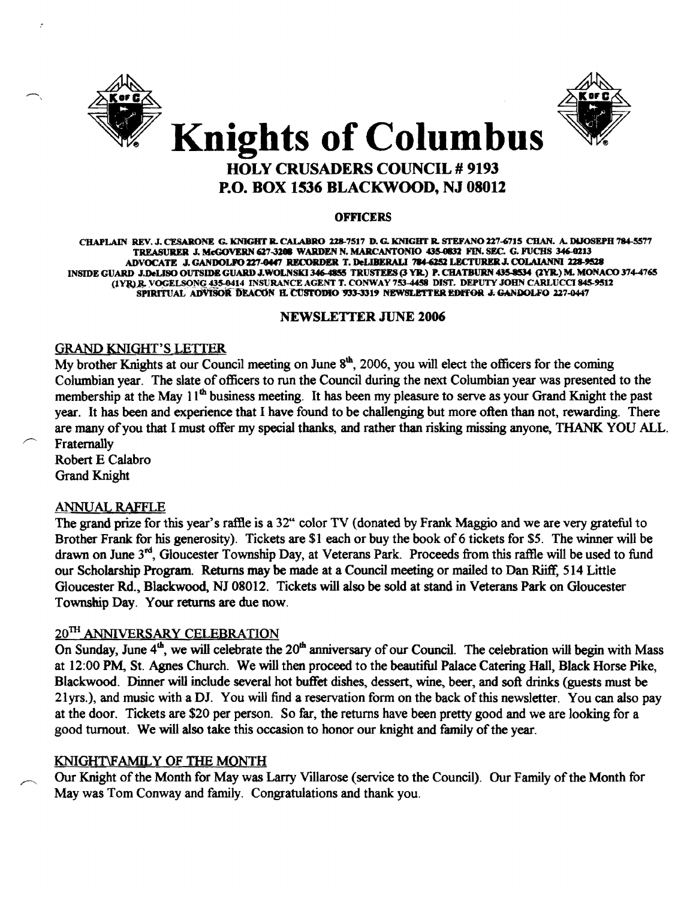



# Knights of Columbus HOLY CRUSADERS COUNCIL # 9193 P.O. BOX 1536 BLACKWOOD, NJ 08012

#### **OFFICERS**

CHAPLAIN REV. J. CESARONE G. KNIGHT R. CALABRO 228-7517 D. G. KNIGHT R. STEFANO 227-6715 CHAN. A. DIJOSEPH 784-5577 TREASURER J. McGOVERN 627-3208 WARDEN N. MARCANTONIO 435-0832 FIN. SEC. G. FUCHS 346-0213 ADVOCATE J. GANDOLFO 227-0447 RECORDER T. DeLIBERALI 784-6252 LECTURER J. COLAIANNI 228-9528 INSIDE GUARD J.DeLISO OUTSIDE GUARD J.WOLNSKI 346-4855 TRUSTEES (3 YR.) P. CHATBURN 435-8534 (2YR.) M. MONACO 374-4765 (1YR),R. VOGELSONG 435-0414 INSURANCE AGENT T. CONWAY 753-4458 DIST. DEPUTY JOHN CARLUCCI 845-9512 SPIRITUAL ADVISOR DEACON B. CUSTODIO 933-3319 NEWSLETTER EDITOR J. GANDOLFO 227-0447

#### NEWSLETTER JUNE 2006

# GRAND KNIGHT'S LETTER

My brother Knights at our Council meeting on June  $8<sup>th</sup>$ , 2006, you will elect the officers for the coming Columbian year. The slate of officers to run the Council during the next Columbian year was presented to the membership at the May 11<sup>th</sup> business meeting. It has been my pleasure to serve as your Grand Knight the past year. It has been and experience that I have found to be challenging but more often than not, rewarding. There are many of you that I must offer my special thanks, and rather than risking missing anyone, THANK YOU ALL. Fraternally

Robert E Calabro Grand Knight

# ANNUAL RAfFLE

The grand prize for this year's raffle is a 32" color TV (donated by Frank Maggio and we are very grateful to Brother Frank for his generosity). Tickets are \$1 each or buy the book of 6 tickets for \$5. The winner will be drawn on June  $3<sup>nd</sup>$ , Gloucester Township Day, at Veterans Park. Proceeds from this raffle will be used to fund our Scholarship Program. Returns may be made at a Council meeting or mailed to Dan Riiff, 514 Little Gloucester Rd., Blackwood, NJ 08012. Tickets will also be sold at stand in Veterans Park on Gloucester Township Day. Your returns are due now.

# $20^{TH}$  ANNIVERSARY CELEBRATION

On Sunday, June  $4<sup>th</sup>$ , we will celebrate the  $20<sup>th</sup>$  anniversary of our Council. The celebration will begin with Mass at 12:00 PM, St. Agnes Church. We will then proceed to the beautiful Palace Catering Hall, Black Horse Pike, Blackwood. Dinner will include several hot buffet dishes, dessert, wine, beer, and soft drinks (guests must be 21yrs.), and music with a DJ. You will find a reservation form on the back ofthis newsletter. You can also pay at the door. Tickets are \$20 per person. So far, the returns have been pretty good and we are looking for a good turnout. We will also take this occasion to honor our knight and family of the year.

# KNIGHT\FAMILY OF THE MONTH

Our Knight of the Month for May was Larry Villarose (service to the Council). Our Family of the Month for May was Tom Conway and family. Congratulations and thank you.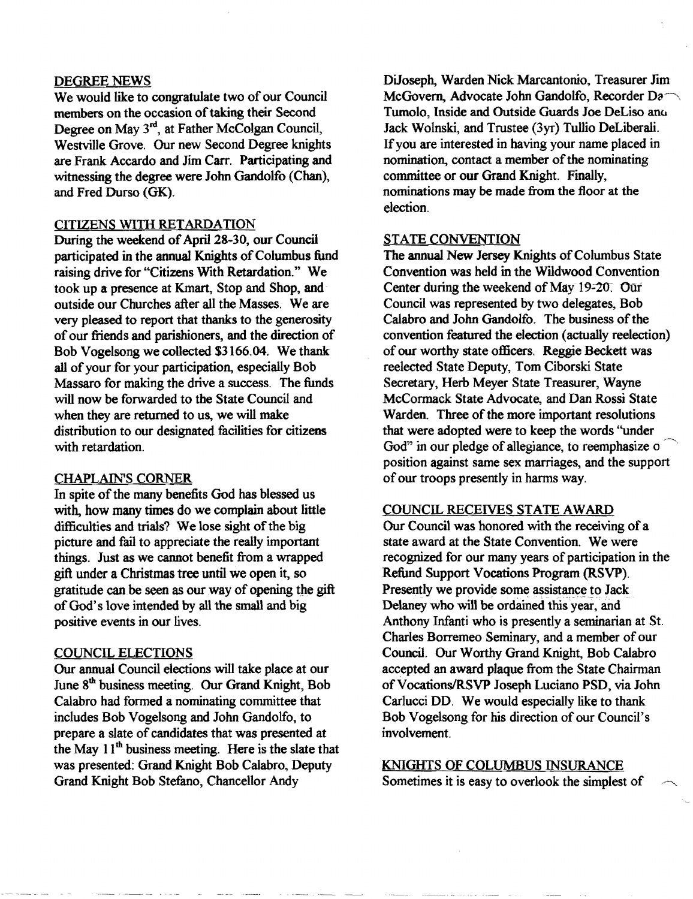#### DEGREE NEWS

We would like to congratulate two of our Council members on the occasion of taking their Second Degree on May 3<sup>rd</sup>, at Father McColgan Council, Westville Grove. Our new Second Degree knights are Frank Accardo and Jim Carr. Participating and witnessing the degree were John Gandolfo (Chan), and Fred Durso (GK).

#### CITIZENS WITH RETARDATION

During the weekend of April 28-30, our Council participated in the annual Knights of Columbus fund raising drive for "Citizens With Retardation." We took up a presence at Kmart, Stop and Shop, and outside our Churches after all the Masses. We are very pleased to report that thanks to the generosity of our friends and parishioners, and the direction of Bob Vogelsong we collected \$3166.04. We thank all of your for your participation, especially Bob Massaro for making the drive a success. The funds will now be forwarded to the State Council and when they are returned to us, we will make distribution to our designated facilities for citizens with retardation.

#### **CHAPLAIN'S CORNER**

In spite of the many benefits God has blessed us with, how many times do we complain about little difficulties and trials? We lose sight of the big picture and fail to appreciate the really important things. Just as we cannot benefit from a wrapped gift under a Christmas tree until we open it, so gratitude can be seen as our way of opening the gift of God's love intended by all the small and big positive events in our lives.

#### COUNCIL ELECTIONS

Our annual Council elections will take place at our June 8<sup>th</sup> business meeting. Our Grand Knight, Bob Calabro had formed a nominating committee that includes Bob Vogelsong and John Gandolfo, to prepare a slate of candidates that was presented at the May  $11<sup>th</sup>$  business meeting. Here is the slate that was presented: Grand Knight Bob Calabro, Deputy Grand Knight Bob Stefano, Chancellor Andy

DiJoseph, Warden Nick Marcantonio, Treasurer Jim McGovern, Advocate John Gandolfo, Recorder Da-Tumolo, Inside and Outside Guards Joe DeLiso anu Jack Wolnski, and Trustee *(3ye)* Tullio DeLiberali. Ifyou are interested in having your name placed in nomination, contact a member of the nominating committee or our Grand Knight. Finally, nominations may be made from the floor at the election.

#### STATE CONVENTION

The annual New Jersey Knights of Columbus State Convention was held in the Wildwood Convention Center during the weekend of May 19-20. Our Council was represented by two delegates, Bob Calabro and John Gandolfo. The business of the convention featured the election (actually reelection) of OUT worthy state officers. Reggie Beckett was reelected State Deputy, Tom Ciborski State Secretary, Herb Meyer State Treasurer, Wayne McCormack State Advocate, and Dan Rossi State Warden. Three of the more important resolutions that were adopted were to keep the words "under God" in our pledge of allegiance, to reemphasize o position against same sex marriages, and the support of our troops presently in harms way.

#### COUNCIL RECEIVES STATE AWARD

Our Council was honored with the receiving of a state award at the State Convention. We were recognized for our many years of participation in the Refund Support Vocations Program (RSVP). Presently we provide some assistance to Jack Delaney who will be ordained this year, and Anthony Infanti who is presently a seminarian at St. Charles Borremeo Seminary, and a member of our Council. Our Worthy Grand Knight, Bob Calabro accepted an award plaque from the State Chairman of Vocations/RSVP Joseph Luciano PSD, via John Carlucci DD. We would especially like to thank Bob Vogelsong for his direction of our Council's involvement

#### KNIGHTS OF COLUMBUS INSURANCE

Sometimes it is easy to overlook the simplest of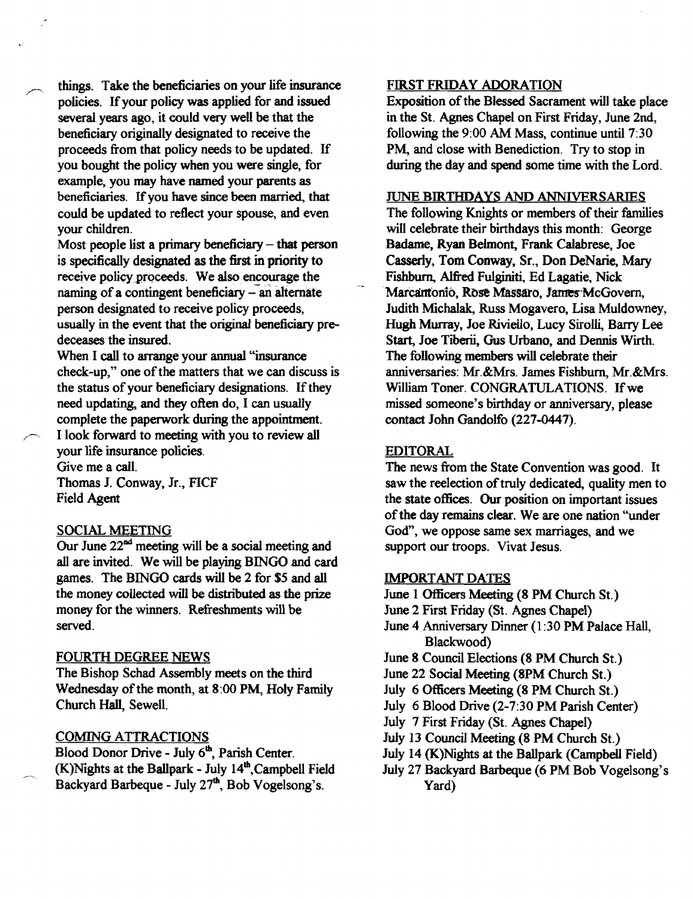things. Take the beneficiaries on your life insurance policies. Ifyour policy was applied for and issued several years ago, it could very well be that the beneficiary originally designated to receive the proceeds from that policy needs to be updated. If you bought the policy when you were single, for example, you may have named your parents as beneficiaries. If you have since been married, that could be updated to reflect your spouse, and even your children.

Most people list a primary beneficiary  $-$  that person is specifically designated as the first in priority to receive policy proceeds. We also encourage the naming of a contingent beneficiary  $-$  an alternate person designated to receive policy proceeds, usually in the event that the original beneficiary predeceases the insured.

When I call to arrange your annual "insurance check-up," one of the matters that we can discuss is the status of your beneficiary designations. If they need updating, and they often do, I can usually complete the paperwork during the appointment.

I look forward to meeting with you to review all your life insurance policies.

Give me a call. Thomas J. Conway, Jr., FICF Field Agent

# SOCIAL MEETING

Our June 22<sup>nd</sup> meeting will be a social meeting and all are invited. We will be playing BINGO and card games. The BINGO cards will be 2 for \$5 and all the money collected will be distributed as the prize money for the winners. Refreshments will be served.

# FOURTH DEGREE NEWS

The Bishop Schad Assembly meets on the third Wednesday of the month, at 8:00 PM, Holy Family Church Hall, SewelL

# COMING ATTRACTIONS

Blood Donor Drive - July 6<sup>th</sup>, Parish Center.  $(K)$ Nights at the Ballpark - July  $14<sup>th</sup>$ , Campbell Field Backyard Barbeque - July 27<sup>th</sup>, Bob Vogelsong's.

#### FIRST FRIDAY ADORATION

Exposition of the Blessed Sacrament will take place in the St. Agnes Chapel on First Friday, June 2nd, following the 9:00 AM Mass, continue until 7:30 PM, and close with Benediction. Try to stop in during the day and spend some time with the Lord.

#### JUNE BIRTHDAYS AND ANNIVERSARIES

The following Knights or members of their families will celebrate their birthdays this month: George Badame, Ryan Belmont, Frank Calabrese, Joe Casserly, Tom Conway, Sr., Don DeNarie, Mary Fishburn, A1fted Fulginiti. Ed Lagatie, Nick Marcantonio, Rose Massaro, James McGovern, Judith Michalak, Russ Mogavero, Lisa Muldowney, Hugh Murray, Joe Riviello, Lucy Sirolli, Barry Lee Start, Joe Tiberii, Gus Urbano, and Dennis Wirth. The following members will celebrate their anniversaries: Mr.&Mrs. James Fishburn, Mr.&Mrs. William Toner. CONGRATULATIONS. If we missed someone's birthday or anniversary, please contact John Gandolfo (227-0447).

#### EDITORAL

The news from the State Convention was good. It saw the reelection of truly dedicated, quality men to the state offices. Our position on important issues of the day remains clear. We are one nation "under God", we oppose same sex marriages, and we support our troops. Vivat Jesus.

# IMPORTANT DATES

June 1 Officers Meeting (8 PM Church St.)

- June 2 First Friday (St. Agnes Chapel)
- June 4 Anniversary Dinner (1:30 PM Palace Hall, Blackwood)
- June 8 Council Elections (8 PM Church St.)
- June 22 Social Meeting (8PM Church St.)
- July 6 Officers Meeting (8 PM Church St.)
- July 6 Blood Drive (2-7:30 PM Parish Center)
- July 7 First Friday (St. Agnes Chapel)
- July 13 Council Meeting (8 PM Church St.)
- July 14 (K)Nights at the Ballpark (Campbell Field)
- July 27 Backyard Barbeque (6 PM Bob Vogelsong's Yard)